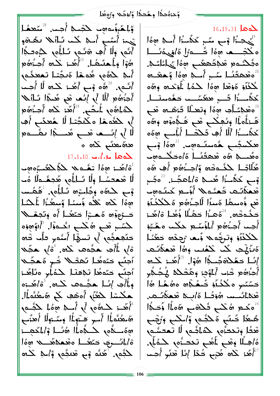وَحِزةَحِمَّا وِهَجِمَّا وَاوْجُد وَرُوهُا

وَلِمَ وَمِعْهُم لِلْجَمِيعِ أَجِم مُعْمَا يْهِمْ أَمِنْسٍ أَسِطٍ كُنْتَ تَسْأَلُكُمْ تَتَصَبُّوهِ ِّأَنَّهٖ وَلَٰا أَٰٰٰٰٰٰٓٓٓٓٓٓ وَقَسَى سَّالَمُوں كَبْوَدَـٰٰٓٓآَا<br>وَوْا وَلَمَسَّمَـٰا ۖ وَ<sup>وَر</sup>ُّمَـٰٓ كَـٰدَہ أَحَـٰٰٰٓٓٓوَٰہِ أَما لِمَوْمٍ هُوهَا وَبِكْتَا تَعْقِدُو أَنَّـه. "ةُه وْبِ أَهَّـٰ: ݣُـد لْلَّا أَجــــ أَجْرَهُم أَلَلٍ لَه إِنَّمٍ هُم هُدِيْرًا سُلَّاتِهِ كَهَلِهُم لِمُحْبِ. "أَهْزِ كَلَّه أَجِزُهُم ﴾ لحقُوها وكَعجَمَا لَا هُعجَم أُب لًا ﴾ إنْـــم شَـــ مُنـــدًا نفُـــوم مدەً معنٌم لادە \*  $17.1.10$   $\ldots$ ,  $\ldots$ أَهْلَاءَ وَوَا تَعْدِيد لِلْمُلِكَئِبِيَوْوِتِ لًا هَعْمَسُـا وِلًا سَـالِمُ هَٰجِعُـٰا هُـٰ وْبِ لِـدَهُه وِجَابَةِهِ نَـٰالِمُو وَعُطَـنتُ هِهُمْ كُلُو كُلُّه وَّسْئَا وَّسِعْنُوا لِمُكَمَّا حَــَرُوزُ۞ هَــمْ أَرَاهُ لَا أَرَى وَنُحِـهَـــلا كَمَسْبِر هُبِ هُكْبِ الْمُسْوَّلِ ٱلْأَبْوَّةِ حَكَمِعِيَّم ۚ ﴾ [سَمَوْا أَمْدَ وَالَدَّ ذُهِ  $\delta$ لِ مَأْلَى هَجُمْهَ لَاه  $\delta$ لِ هَجُلا $\delta$ أَجِنَّعِ حَكَمَعًا نَعْشَلًا خُبِرٍ هُـعجَـٰلا ٱجنَّى حَمْمُعا لَجْعَلَـا ۖ حَمُلُو مَلَامًا ۚ وِبِأَأْبِ إِسُل هِجْمِعا لَكُ، أَهْ أَهْلُوهِ، هكْسْا لِكْتُبِ أُهِقْفِ كُمْ هَمْعُنُمْأَلِ أَهَد: كَمَنْ مِنْ أَكْرِ مَنْ الْمَسْتَمَرَ مِنْ الْمَسْتَمَرَ ۞۫ٮعۢڷڡۘٛڸؙٳٳٳٵٞ؞ؠڔۦڡۦۛڗ۪ؠڵٳٳ؋ٮڝٚڗۅڵٳٵٳؙؗڡۮؘڹؠ بَكِمَلِيا وَالْمُسْلَمِ وَالْمَكْمَ ة/لم حَمْدُ الصَّحْمَةُ مِنْهُمْ مِنْ لِحَبُّوبِ. آهَنُّه فِي هُنجُوبٍ وَّالِيهِ لَكْنَهَ

لْجَيْحِبُوْا وْمِعِ مَيْنِ كَيْݣُمْوَا أَسْلِي 20\$ مكثب من أن أم من المستخدم المستخدم ەقىمىم ھەتكىھىس بوۋا ئىلگى "ەقىھقَتْل مَيْنِ أَسْمِ هِوَا وَسَعْفَ هُ لْكُنُوْ هُوْهْا هِهُا كَلْمَاءَ لِلُوْكَتِهِ وَهُم كَذّْسَــزُا ضَـــرِ محكَّمَــــب حَـمَّومِينَـــا. أَهْمِكِلُّكِ وَهُا وَتَعَلَّا ثَرْهُـهِ هُـع َقَّ : أُهلًا وِنُعِكُم هُم قُـلُّهِ وَوَّه وَهُ كَذُّكُمْ أَلَّا أَبَّ كُحْشًا أَبَّلَـ وَوَهُ مَكْتَبِّبُ هُءَيْنَاهِي.  $\frac{3}{2}$ ەەُ قَبِي ەئىمىدا ھە ئىھقىلى ھاەتىگە ھە هَٰلَاتِهَا كَثَّـهِ ثَـهُ وَٱجِــزُهُم ٱُڢ هَٰه وْبٍ كَذَكْرُ مُسْلِمٍ وْالْمُحْسَنِ وْفَصْحِرِ هْهَكْلُبْتِ خُمْشُوبِ أَنْزُسِهِ كَيْلُوهِمْ مْعِ وُّەمىعُل ەْمىرُا لَّاجِزُوْھِ مَكْكَحَدُوْ حَدَّدَه. "هُمْ أَرْحَمُلْ وُهُـا وْأَهْدَ أجب أجزؤهم أباؤسهم حكب معَةو لْلُلْدُوْ وِلْرَثُوه لَا وُسَعْدَ رَحِدْهِ حَمَدُ ا ەْتَزْهُبْ كُمْ كْلْمُلْت وْهْلْ شْعَكْلَىْت إِسًا حَمَّلُهُجُماً هُوْٓا. ۚ أُهَٰذَ لَكُ هَ أَجْرُهُم خْزِبٍ ٱلْمُؤْجِزِ وِهَجْلاً ۖ لِمُجُـٰجُلِينَ ۖ وَاللَّهُ ۖ وَالَّذِي ٱلْمُجُمْعِينَ وَال حَسِّيْتِ مِكْتُرَةٍ خُتْصَبُرْهِ مِهْجًا هَا هَٰذَائِسَــب هُوْثُــا هُ/بِـدْ هُـمَذَّكَــم. ُّهۡكُـُم 7ُمُكُم فُـُلَّهُم ۚ وَٱهۡلَا وَۡصَدَٰٓا ۖ هُمعُا ضُنِّع هُ لِأَشْمٍ وَٱسْلَحِ وَٱرْضَعِ هَدًا وَتَحْدَّى ۖ كَمَاجُّـَى لَّا تَعْمَـٰبُـى هُ/هِـلًا وَهَــمْ لَمُعُــمٍ تَـدَـدُّومٍ كَــمُلَمٍ. مَّذ لَا اللَّهُ مَنْ اللَّهُ مَنْ اللَّهُ مُّذَا اللَّهُ الْمَعْلَى الْمَسَوْمَ أَحِسَدُ  $\int_0^{27}$ 

 $16.19.31$   $\Delta$